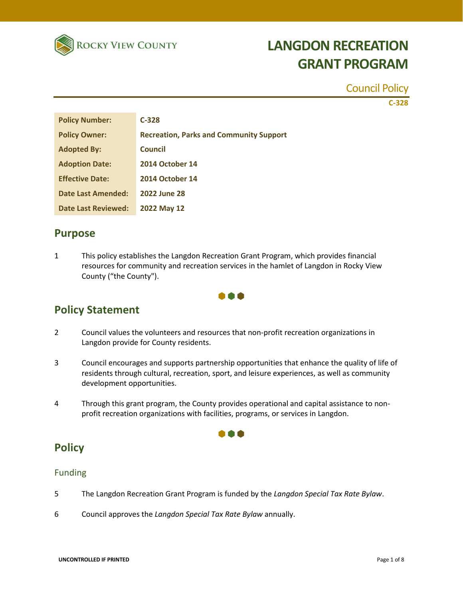

#### Council Policy

**C-328**

| <b>Policy Number:</b>      | $C-328$                                        |
|----------------------------|------------------------------------------------|
| <b>Policy Owner:</b>       | <b>Recreation, Parks and Community Support</b> |
| <b>Adopted By:</b>         | Council                                        |
| <b>Adoption Date:</b>      | <b>2014 October 14</b>                         |
| <b>Effective Date:</b>     | <b>2014 October 14</b>                         |
| <b>Date Last Amended:</b>  | 2022 June 28                                   |
| <b>Date Last Reviewed:</b> | <b>2022 May 12</b>                             |

### **Purpose**

1 This policy establishes the Langdon Recreation Grant Program, which provides financial resources for community and recreation services in the hamlet of Langdon in Rocky View County ("the County").

### A A A

### **Policy Statement**

- 2 Council values the volunteers and resources that non-profit recreation organizations in Langdon provide for County residents.
- 3 Council encourages and supports partnership opportunities that enhance the quality of life of residents through cultural, recreation, sport, and leisure experiences, as well as community development opportunities.
- 4 Through this grant program, the County provides operational and capital assistance to nonprofit recreation organizations with facilities, programs, or services in Langdon.

000

### **Policy**

#### Funding

- 5 The Langdon Recreation Grant Program is funded by the *Langdon Special Tax Rate Bylaw*.
- 6 Council approves the *Langdon Special Tax Rate Bylaw* annually.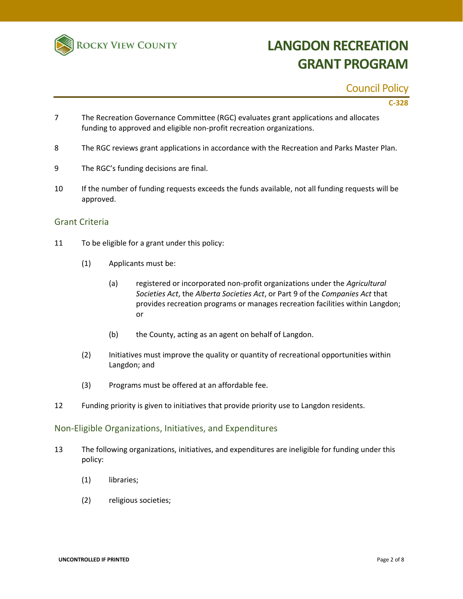

#### Council Policy

**C-328**

- 7 The Recreation Governance Committee (RGC) evaluates grant applications and allocates funding to approved and eligible non-profit recreation organizations.
- 8 The RGC reviews grant applications in accordance with the Recreation and Parks Master Plan.
- 9 The RGC's funding decisions are final.
- 10 If the number of funding requests exceeds the funds available, not all funding requests will be approved.

#### Grant Criteria

- 11 To be eligible for a grant under this policy:
	- (1) Applicants must be:
		- (a) registered or incorporated non‐profit organizations under the *Agricultural Societies Act*, the *Alberta Societies Act*, or Part 9 of the *Companies Act* that provides recreation programs or manages recreation facilities within Langdon; or
		- (b) the County, acting as an agent on behalf of Langdon.
	- (2) Initiatives must improve the quality or quantity of recreational opportunities within Langdon; and
	- (3) Programs must be offered at an affordable fee.
- 12 Funding priority is given to initiatives that provide priority use to Langdon residents.

#### Non-Eligible Organizations, Initiatives, and Expenditures

- 13 The following organizations, initiatives, and expenditures are ineligible for funding under this policy:
	- (1) libraries;
	- (2) religious societies;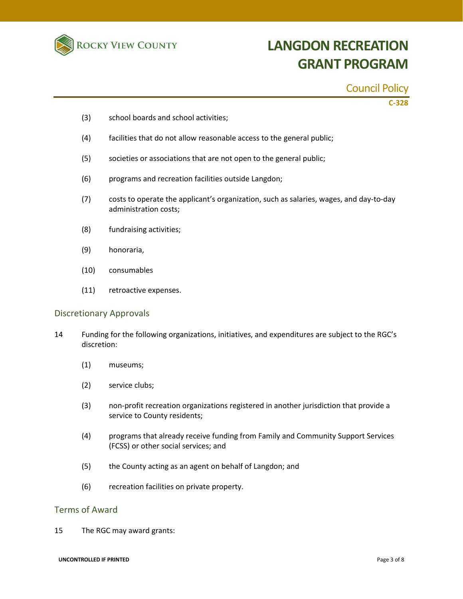

#### Council Policy

**C-328**

- (3) school boards and school activities;
- (4) facilities that do not allow reasonable access to the general public;
- (5) societies or associations that are not open to the general public;
- (6) programs and recreation facilities outside Langdon;
- (7) costs to operate the applicant's organization, such as salaries, wages, and day-to-day administration costs;
- (8) fundraising activities;
- (9) honoraria,
- (10) consumables
- (11) retroactive expenses.

#### Discretionary Approvals

- 14 Funding for the following organizations, initiatives, and expenditures are subject to the RGC's discretion:
	- (1) museums;
	- (2) service clubs;
	- (3) non-profit recreation organizations registered in another jurisdiction that provide a service to County residents;
	- (4) programs that already receive funding from Family and Community Support Services (FCSS) or other social services; and
	- (5) the County acting as an agent on behalf of Langdon; and
	- (6) recreation facilities on private property.

#### Terms of Award

15 The RGC may award grants:

#### **UNCONTROLLED IF PRINTED** Page 3 of 8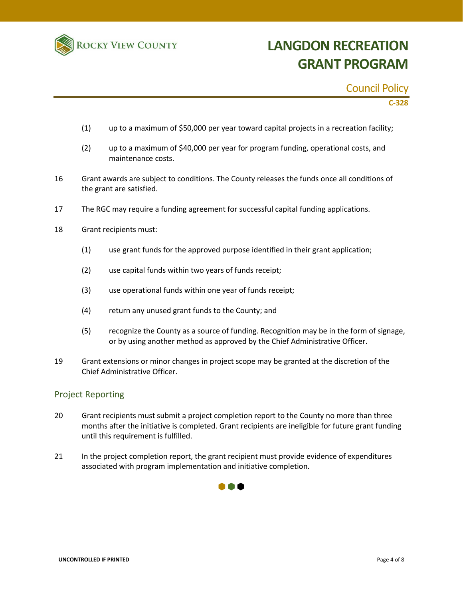

#### Council Policy

**C-328**

- (1) up to a maximum of \$50,000 per year toward capital projects in a recreation facility;
- (2) up to a maximum of \$40,000 per year for program funding, operational costs, and maintenance costs.
- 16 Grant awards are subject to conditions. The County releases the funds once all conditions of the grant are satisfied.
- 17 The RGC may require a funding agreement for successful capital funding applications.
- 18 Grant recipients must:
	- (1) use grant funds for the approved purpose identified in their grant application;
	- (2) use capital funds within two years of funds receipt;
	- (3) use operational funds within one year of funds receipt;
	- (4) return any unused grant funds to the County; and
	- (5) recognize the County as a source of funding. Recognition may be in the form of signage, or by using another method as approved by the Chief Administrative Officer.
- 19 Grant extensions or minor changes in project scope may be granted at the discretion of the Chief Administrative Officer.

#### Project Reporting

- 20 Grant recipients must submit a project completion report to the County no more than three months after the initiative is completed. Grant recipients are ineligible for future grant funding until this requirement is fulfilled.
- 21 In the project completion report, the grant recipient must provide evidence of expenditures associated with program implementation and initiative completion.

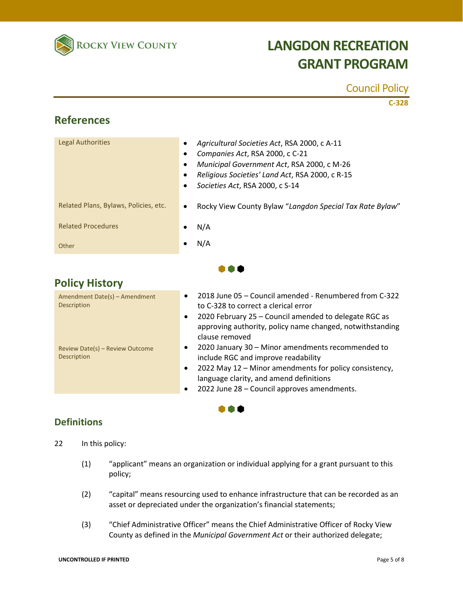

### Council Policy

**C-328**

### **References**

| Legal Authorities                     | Agricultural Societies Act, RSA 2000, c A-11<br>Companies Act, RSA 2000, c C-21<br>Municipal Government Act, RSA 2000, c M-26<br>Religious Societies' Land Act, RSA 2000, c R-15<br>Societies Act, RSA 2000, c S-14 |
|---------------------------------------|---------------------------------------------------------------------------------------------------------------------------------------------------------------------------------------------------------------------|
| Related Plans, Bylaws, Policies, etc. | Rocky View County Bylaw "Langdon Special Tax Rate Bylaw"<br>$\bullet$                                                                                                                                               |
| <b>Related Procedures</b>             | N/A                                                                                                                                                                                                                 |
| Other                                 | N/A                                                                                                                                                                                                                 |
|                                       |                                                                                                                                                                                                                     |

TO 1

### **Policy History**

| Amendment Date(s) - Amendment<br>Description   | 2018 June 05 – Council amended - Renumbered from C-322<br>$\bullet$<br>to C-328 to correct a clerical error<br>2020 February 25 - Council amended to delegate RGC as<br>$\bullet$<br>approving authority, policy name changed, notwithstanding<br>clause removed            |
|------------------------------------------------|-----------------------------------------------------------------------------------------------------------------------------------------------------------------------------------------------------------------------------------------------------------------------------|
| Review Date(s) - Review Outcome<br>Description | 2020 January 30 - Minor amendments recommended to<br>$\bullet$<br>include RGC and improve readability<br>2022 May 12 – Minor amendments for policy consistency,<br>$\bullet$<br>language clarity, and amend definitions<br>2022 June 28 - Council approves amendments.<br>٠ |

m d

### **Definitions**

- 22 In this policy:
	- (1) "applicant" means an organization or individual applying for a grant pursuant to this policy;
	- (2) "capital" means resourcing used to enhance infrastructure that can be recorded as an asset or depreciated under the organization's financial statements;
	- (3) "Chief Administrative Officer" means the Chief Administrative Officer of Rocky View County as defined in the *Municipal Government Act* or their authorized delegate;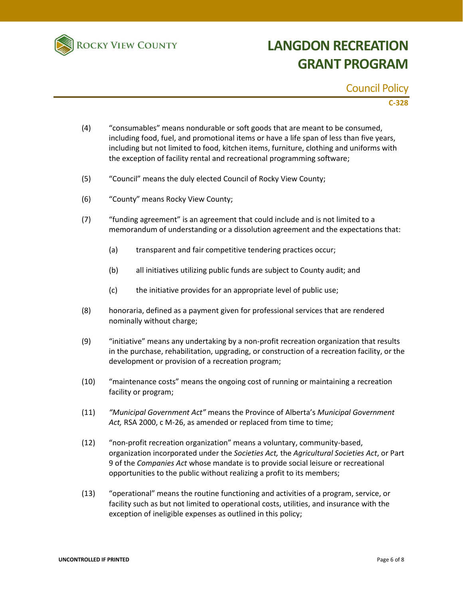

#### Council Policy

**C-328**

- (4) "consumables" means nondurable or soft goods that are meant to be consumed, including food, fuel, and promotional items or have a life span of less than five years, including but not limited to food, kitchen items, furniture, clothing and uniforms with the exception of facility rental and recreational programming software;
- (5) "Council" means the duly elected Council of Rocky View County;
- (6) "County" means Rocky View County;
- (7) "funding agreement" is an agreement that could include and is not limited to a memorandum of understanding or a dissolution agreement and the expectations that:
	- (a) transparent and fair competitive tendering practices occur;
	- (b) all initiatives utilizing public funds are subject to County audit; and
	- (c) the initiative provides for an appropriate level of public use;
- (8) honoraria, defined as a payment given for professional services that are rendered nominally without charge;
- (9) "initiative" means any undertaking by a non-profit recreation organization that results in the purchase, rehabilitation, upgrading, or construction of a recreation facility, or the development or provision of a recreation program;
- (10) "maintenance costs" means the ongoing cost of running or maintaining a recreation facility or program;
- (11) *"Municipal Government Act"* means the Province of Alberta's *Municipal Government Act,* RSA 2000, c M-26, as amended or replaced from time to time;
- (12) "non-profit recreation organization" means a voluntary, community-based, organization incorporated under the *Societies Act,* the *Agricultural Societies Act*, or Part 9 of the *Companies Act* whose mandate is to provide social leisure or recreational opportunities to the public without realizing a profit to its members;
- (13) "operational" means the routine functioning and activities of a program, service, or facility such as but not limited to operational costs, utilities, and insurance with the exception of ineligible expenses as outlined in this policy;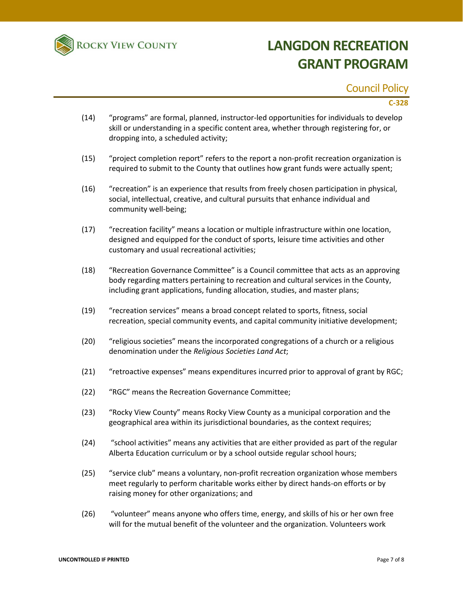

### Council Policy

#### **C-328**

- (14) "programs" are formal, planned, instructor-led opportunities for individuals to develop skill or understanding in a specific content area, whether through registering for, or dropping into, a scheduled activity;
- (15) "project completion report" refers to the report a non-profit recreation organization is required to submit to the County that outlines how grant funds were actually spent;
- (16) "recreation" is an experience that results from freely chosen participation in physical, social, intellectual, creative, and cultural pursuits that enhance individual and community well-being;
- (17) "recreation facility" means a location or multiple infrastructure within one location, designed and equipped for the conduct of sports, leisure time activities and other customary and usual recreational activities;
- (18) "Recreation Governance Committee" is a Council committee that acts as an approving body regarding matters pertaining to recreation and cultural services in the County, including grant applications, funding allocation, studies, and master plans;
- (19) "recreation services" means a broad concept related to sports, fitness, social recreation, special community events, and capital community initiative development;
- (20) "religious societies" means the incorporated congregations of a church or a religious denomination under the *Religious Societies Land Act*;
- (21) "retroactive expenses" means expenditures incurred prior to approval of grant by RGC;
- (22) "RGC" means the Recreation Governance Committee;
- (23) "Rocky View County" means Rocky View County as a municipal corporation and the geographical area within its jurisdictional boundaries, as the context requires;
- (24) "school activities" means any activities that are either provided as part of the regular Alberta Education curriculum or by a school outside regular school hours;
- (25) "service club" means a voluntary, non-profit recreation organization whose members meet regularly to perform charitable works either by direct hands-on efforts or by raising money for other organizations; and
- (26) "volunteer" means anyone who offers time, energy, and skills of his or her own free will for the mutual benefit of the volunteer and the organization. Volunteers work